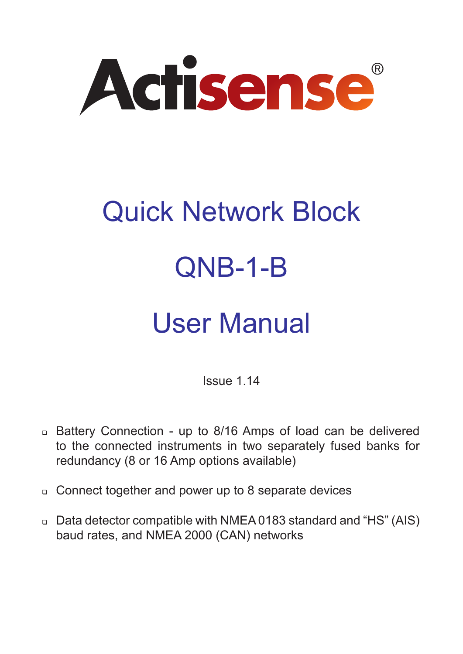

# Quick Network Block QNB-1-B

## User Manual

Issue 1.14

- Battery Connection up to 8/16 Amps of load can be delivered to the connected instruments in two separately fused banks for redundancy (8 or 16 Amp options available)
- □ Connect together and power up to 8 separate devices
- Data detector compatible with NMEA 0183 standard and "HS" (AIS) baud rates, and NMEA 2000 (CAN) networks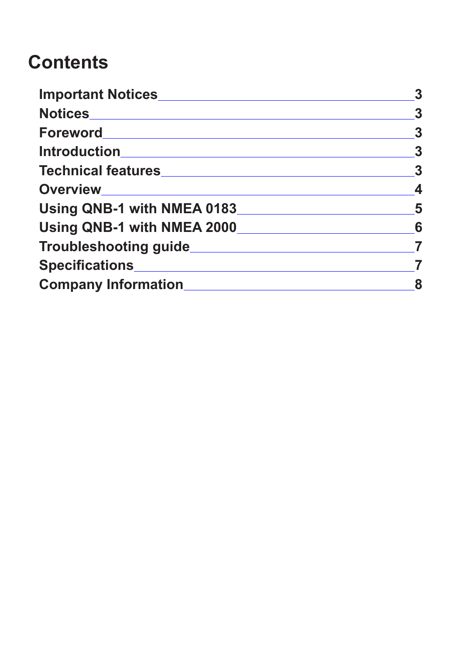## **Contents**

| Important Notices               |                         |  |
|---------------------------------|-------------------------|--|
| Notices__________________       | $\boldsymbol{3}$        |  |
|                                 | $\boldsymbol{3}$        |  |
|                                 | $\overline{\mathbf{3}}$ |  |
|                                 | $\boldsymbol{3}$        |  |
|                                 | $\boldsymbol{4}$        |  |
| Using QNB-1 with NMEA 0183<br>5 |                         |  |
| Using QNB-1 with NMEA 2000<br>6 |                         |  |
|                                 |                         |  |
|                                 |                         |  |
|                                 | 8                       |  |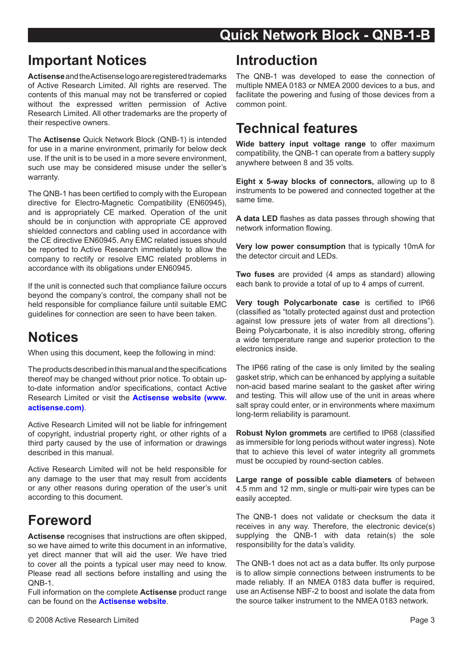#### <span id="page-2-0"></span>**Important Notices**

**Actisense** and the Actisense logo are registered trademarks of Active Research Limited. All rights are reserved. The contents of this manual may not be transferred or copied without the expressed written permission of Active Research Limited. All other trademarks are the property of their respective owners.

The **Actisense** Quick Network Block (QNB-1) is intended for use in a marine environment, primarily for below deck use. If the unit is to be used in a more severe environment, such use may be considered misuse under the seller's warranty.

The QNB-1 has been certified to comply with the European directive for Electro-Magnetic Compatibility (EN60945), and is appropriately CE marked. Operation of the unit should be in conjunction with appropriate CE approved shielded connectors and cabling used in accordance with the CE directive EN60945. Any EMC related issues should be reported to Active Research immediately to allow the company to rectify or resolve EMC related problems in accordance with its obligations under EN60945.

If the unit is connected such that compliance failure occurs beyond the company's control, the company shall not be held responsible for compliance failure until suitable EMC guidelines for connection are seen to have been taken.

#### **Notices**

When using this document, keep the following in mind:

The products described in this manual and the specifications thereof may be changed without prior notice. To obtain upto-date information and/or specifications, contact Active Research Limited or visit the **[Actisense website \(www.](http://www.actisense.com) [actisense.com\)](http://www.actisense.com)**.

Active Research Limited will not be liable for infringement of copyright, industrial property right, or other rights of a third party caused by the use of information or drawings described in this manual.

Active Research Limited will not be held responsible for any damage to the user that may result from accidents or any other reasons during operation of the user's unit according to this document.

#### **Foreword**

**Actisense** recognises that instructions are often skipped, so we have aimed to write this document in an informative, yet direct manner that will aid the user. We have tried to cover all the points a typical user may need to know. Please read all sections before installing and using the QNB-1.

Full information on the complete **Actisense** product range can be found on the **[Actisense website](http://www.actisense.com)**.

#### **Introduction**

The QNB-1 was developed to ease the connection of multiple NMEA 0183 or NMEA 2000 devices to a bus, and facilitate the powering and fusing of those devices from a common point.

#### **Technical features**

**Wide battery input voltage range** to offer maximum compatibility, the QNB-1 can operate from a battery supply anywhere between 8 and 35 volts.

**Eight x 5-way blocks of connectors,** allowing up to 8 instruments to be powered and connected together at the same time.

**A data LED** flashes as data passes through showing that network information flowing.

**Very low power consumption** that is typically 10mA for the detector circuit and LEDs.

**Two fuses** are provided (4 amps as standard) allowing each bank to provide a total of up to 4 amps of current.

**Very tough Polycarbonate case** is certified to IP66 (classified as "totally protected against dust and protection against low pressure jets of water from all directions"). Being Polycarbonate, it is also incredibly strong, offering a wide temperature range and superior protection to the electronics inside.

The IP66 rating of the case is only limited by the sealing gasket strip, which can be enhanced by applying a suitable non-acid based marine sealant to the gasket after wiring and testing. This will allow use of the unit in areas where salt spray could enter, or in environments where maximum long-term reliability is paramount.

**Robust Nylon grommets** are certified to IP68 (classified as immersible for long periods without water ingress). Note that to achieve this level of water integrity all grommets must be occupied by round-section cables.

**Large range of possible cable diameters** of between 4.5 mm and 12 mm, single or multi-pair wire types can be easily accepted.

The QNB-1 does not validate or checksum the data it receives in any way. Therefore, the electronic device(s) supplying the QNB-1 with data retain(s) the sole responsibility for the data's validity.

The QNB-1 does not act as a data buffer. Its only purpose is to allow simple connections between instruments to be made reliably. If an NMEA 0183 data buffer is required. use an Actisense NBF-2 to boost and isolate the data from the source talker instrument to the NMEA 0183 network.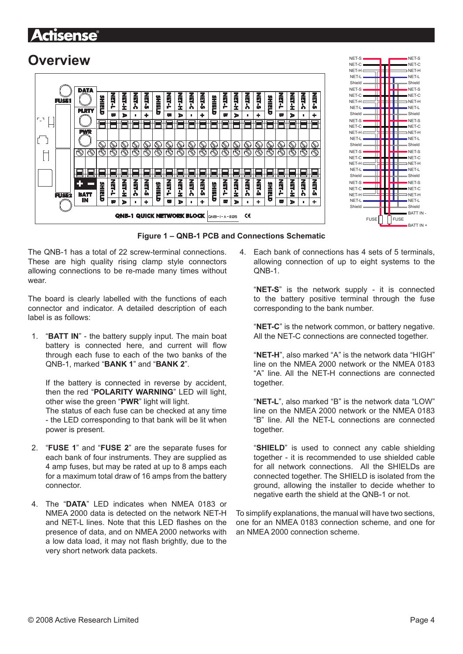#### <span id="page-3-0"></span>Actisense

#### **Overview**





#### **Figure 1 – QNB-1 PCB and Connections Schematic**

The QNB-1 has a total of 22 screw-terminal connections. These are high quality rising clamp style connectors allowing connections to be re-made many times without wear.

The board is clearly labelled with the functions of each connector and indicator. A detailed description of each label is as follows:

1. "**BATT IN**" - the battery supply input. The main boat battery is connected here, and current will flow through each fuse to each of the two banks of the QNB-1, marked "**BANK 1**" and "**BANK 2**".

If the battery is connected in reverse by accident, then the red "**POLARITY WARNING**" LED will light, other wise the green "**PWR**" light will light.

The status of each fuse can be checked at any time - the LED corresponding to that bank will be lit when power is present.

- 2. "**FUSE 1**" and "**FUSE 2**" are the separate fuses for each bank of four instruments. They are supplied as 4 amp fuses, but may be rated at up to 8 amps each for a maximum total draw of 16 amps from the battery connector.
- 4. The "**DATA**" LED indicates when NMEA 0183 or NMEA 2000 data is detected on the network NET-H and NET-L lines. Note that this LED flashes on the presence of data, and on NMEA 2000 networks with a low data load, it may not flash brightly, due to the very short network data packets.

4. Each bank of connections has 4 sets of 5 terminals, allowing connection of up to eight systems to the QNB-1.

"**NET-S**" is the network supply - it is connected to the battery positive terminal through the fuse corresponding to the bank number.

"**NET-C**" is the network common, or battery negative. All the NET-C connections are connected together.

"**NET-H**", also marked "A" is the network data "HIGH" line on the NMEA 2000 network or the NMEA 0183 "A" line. All the NET-H connections are connected together.

"**NET-L**", also marked "B" is the network data "LOW" line on the NMEA 2000 network or the NMEA 0183 "B" line. All the NET-L connections are connected together.

"**SHIELD**" is used to connect any cable shielding together - it is recommended to use shielded cable for all network connections. All the SHIELDs are connected together. The SHIELD is isolated from the ground, allowing the installer to decide whether to negative earth the shield at the QNB-1 or not.

To simplify explanations, the manual will have two sections, one for an NMEA 0183 connection scheme, and one for an NMEA 2000 connection scheme.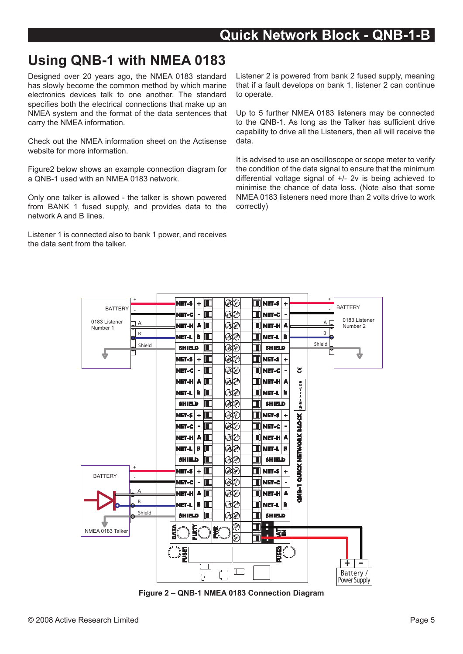## <span id="page-4-0"></span>**Using QNB-1 with NMEA 0183**

Designed over 20 years ago, the NMEA 0183 standard has slowly become the common method by which marine electronics devices talk to one another. The standard specifies both the electrical connections that make up an NMEA system and the format of the data sentences that carry the NMEA information.

Check out the NMEA information sheet on the Actisense website for more information.

Figure2 below shows an example connection diagram for a QNB-1 used with an NMEA 0183 network.

Only one talker is allowed - the talker is shown powered from BANK 1 fused supply, and provides data to the network A and B lines.

Listener 1 is connected also to bank 1 power, and receives the data sent from the talker.

Listener 2 is powered from bank 2 fused supply, meaning that if a fault develops on bank 1, listener 2 can continue to operate.

Up to 5 further NMEA 0183 listeners may be connected to the QNB-1. As long as the Talker has sufficient drive capability to drive all the Listeners, then all will receive the data.

It is advised to use an oscilloscope or scope meter to verify the condition of the data signal to ensure that the minimum differential voltage signal of +/- 2v is being achieved to minimise the chance of data loss. (Note also that some NMEA 0183 listeners need more than 2 volts drive to work correctly)



**Figure 2 – QNB-1 NMEA 0183 Connection Diagram**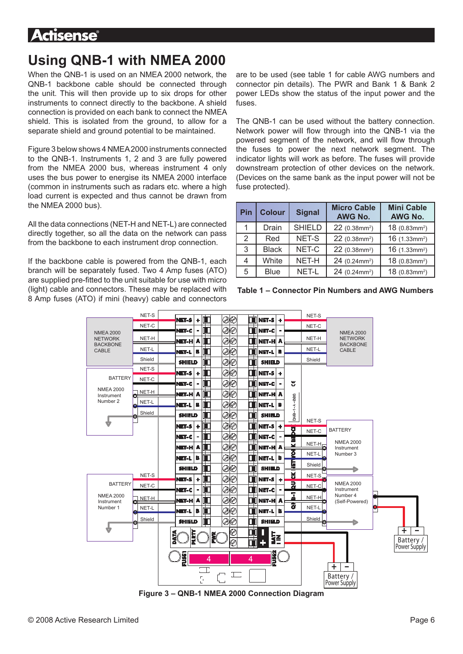#### <span id="page-5-0"></span>Actisense

## **Using QNB-1 with NMEA 2000**

When the QNB-1 is used on an NMEA 2000 network, the QNB-1 backbone cable should be connected through the unit. This will then provide up to six drops for other instruments to connect directly to the backbone. A shield connection is provided on each bank to connect the NMEA shield. This is isolated from the ground, to allow for a separate shield and ground potential to be maintained.

Figure 3 below shows 4 NMEA 2000 instruments connected to the QNB-1. Instruments 1, 2 and 3 are fully powered from the NMEA 2000 bus, whereas instrument 4 only uses the bus power to energise its NMEA 2000 interface (common in instruments such as radars etc. where a high load current is expected and thus cannot be drawn from the NMEA 2000 bus).

All the data connections (NET-H and NET-L) are connected directly together, so all the data on the network can pass from the backbone to each instrument drop connection.

If the backbone cable is powered from the QNB-1, each branch will be separately fused. Two 4 Amp fuses (ATO) are supplied pre-fitted to the unit suitable for use with micro (light) cable and connectors. These may be replaced with 8 Amp fuses (ATO) if mini (heavy) cable and connectors are to be used (see table 1 for cable AWG numbers and connector pin details). The PWR and Bank 1 & Bank 2 power LEDs show the status of the input power and the fuses.

The QNB-1 can be used without the battery connection. Network power will flow through into the QNB-1 via the powered segment of the network, and will flow through the fuses to power the next network segment. The indicator lights will work as before. The fuses will provide downstream protection of other devices on the network. (Devices on the same bank as the input power will not be fuse protected).

| Pin | <b>Colour</b> | <b>Signal</b> | <b>Micro Cable</b><br>AWG No. | <b>Mini Cable</b><br>AWG No. |
|-----|---------------|---------------|-------------------------------|------------------------------|
| 1.  | Drain         | <b>SHIELD</b> | $22$ (0.38mm <sup>2</sup> )   | $18(0.83mm^2)$               |
| 2   | Red           | NET-S         | 22 (0.38mm <sup>2</sup> )     | $16$ (1.33mm <sup>2</sup> )  |
| 3   | <b>Black</b>  | NET-C         | $22$ (0.38mm <sup>2</sup> )   | $16$ (1.33mm <sup>2</sup> )  |
| 4   | White         | NET-H         | $24$ (0.24mm <sup>2</sup> )   | $18(0.83mm^2)$               |
| 5.  | <b>Blue</b>   | NET-L         | $24$ (0.24mm <sup>2</sup> )   | $18(0.83mm^2)$               |





**Figure 3 – QNB-1 NMEA 2000 Connection Diagram**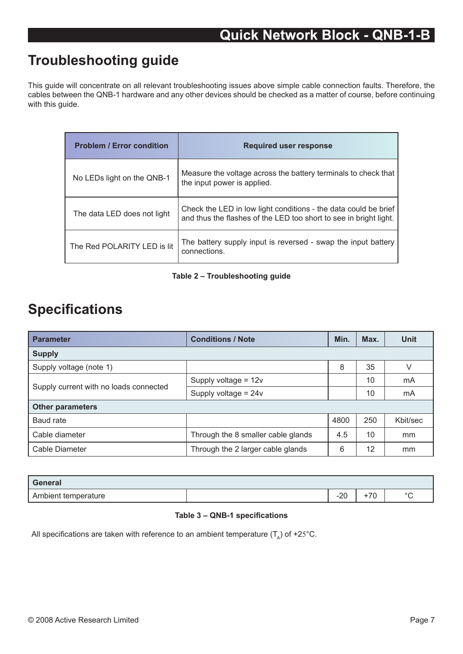### <span id="page-6-0"></span>**Troubleshooting guide**

This guide will concentrate on all relevant troubleshooting issues above simple cable connection faults. Therefore, the cables between the QNB-1 hardware and any other devices should be checked as a matter of course, before continuing with this guide.

| <b>Problem / Error condition</b> | <b>Required user response</b>                                                                                                        |
|----------------------------------|--------------------------------------------------------------------------------------------------------------------------------------|
| No LEDs light on the QNB-1       | Measure the voltage across the battery terminals to check that<br>the input power is applied.                                        |
| The data LED does not light      | Check the LED in low light conditions - the data could be brief<br>and thus the flashes of the LED too short to see in bright light. |
| The Red POLARITY LED is lit      | The battery supply input is reversed - swap the input battery<br>connections.                                                        |

#### **Table 2 – Troubleshooting guide**

#### **Specifications**

| <b>Parameter</b>                       | <b>Conditions / Note</b>           |     | Max. | <b>Unit</b> |  |  |  |
|----------------------------------------|------------------------------------|-----|------|-------------|--|--|--|
| <b>Supply</b>                          |                                    |     |      |             |  |  |  |
| Supply voltage (note 1)                |                                    | 8   | 35   | V           |  |  |  |
| Supply current with no loads connected | Supply voltage = $12v$             |     | 10   | mA          |  |  |  |
|                                        | Supply voltage = $24v$             |     | 10   | mA          |  |  |  |
| <b>Other parameters</b>                |                                    |     |      |             |  |  |  |
| Baud rate                              |                                    |     | 250  | Khit/sec    |  |  |  |
| Cable diameter                         | Through the 8 smaller cable glands | 4.5 | 10   | mm          |  |  |  |
| Cable Diameter                         | Through the 2 larger cable glands  |     | 12   | mm          |  |  |  |

| General             |                 |                    |              |
|---------------------|-----------------|--------------------|--------------|
| Ambient temperature | $\Omega$<br>−∠ບ | $\rightarrow$<br>ັ | $\circ$<br>◡ |

#### **Table 3 – QNB-1 specifications**

All specifications are taken with reference to an ambient temperature  $(T<sub>a</sub>)$  of +25°C.